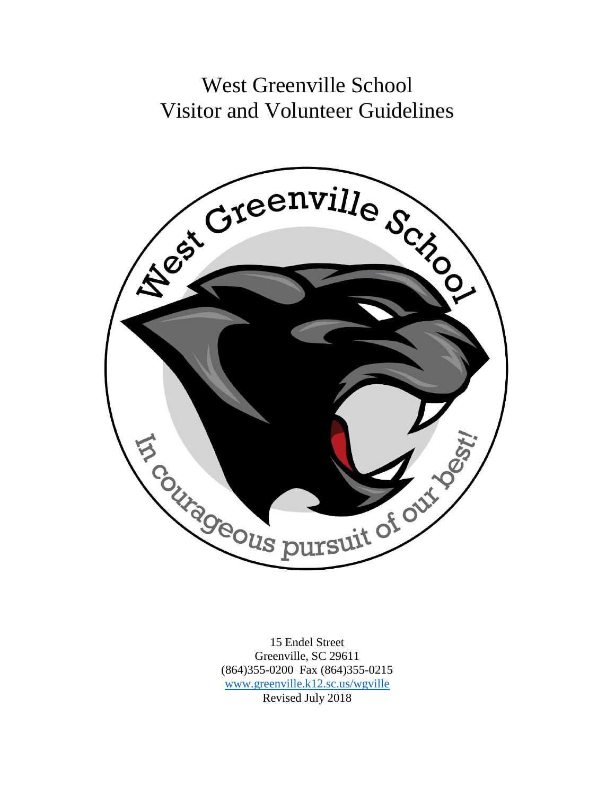# West Greenville School Visitor and Volunteer Guidelines



15 Endel Street Greenville, SC 29611 (864)355-0200 Fax (864)355-0215 [www.greenville.k12.sc.us/wgville](http://www.greenville.k12.sc.us/wgville) Revised July 2018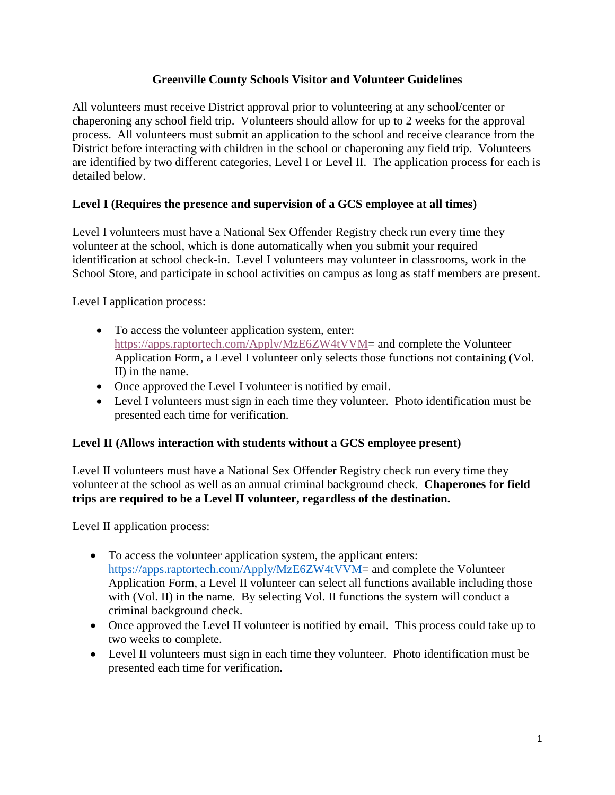#### **Greenville County Schools Visitor and Volunteer Guidelines**

All volunteers must receive District approval prior to volunteering at any school/center or chaperoning any school field trip. Volunteers should allow for up to 2 weeks for the approval process. All volunteers must submit an application to the school and receive clearance from the District before interacting with children in the school or chaperoning any field trip. Volunteers are identified by two different categories, Level I or Level II. The application process for each is detailed below.

### **Level I (Requires the presence and supervision of a GCS employee at all times)**

Level I volunteers must have a National Sex Offender Registry check run every time they volunteer at the school, which is done automatically when you submit your required identification at school check-in. Level I volunteers may volunteer in classrooms, work in the School Store, and participate in school activities on campus as long as staff members are present.

Level I application process:

- To access the volunteer application system, enter: [https://apps.raptortech.com/Apply/MzE6ZW4tVVM=](https://apps.raptortech.com/Apply/MzE6ZW4tVVM) and complete the Volunteer Application Form, a Level I volunteer only selects those functions not containing (Vol. II) in the name.
- Once approved the Level I volunteer is notified by email.
- Level I volunteers must sign in each time they volunteer. Photo identification must be presented each time for verification.

#### **Level II (Allows interaction with students without a GCS employee present)**

Level II volunteers must have a National Sex Offender Registry check run every time they volunteer at the school as well as an annual criminal background check. **Chaperones for field trips are required to be a Level II volunteer, regardless of the destination.**

Level II application process:

- To access the volunteer application system, the applicant enters: [https://apps.raptortech.com/Apply/MzE6ZW4tVVM=](https://apps.raptortech.com/Apply/MzE6ZW4tVVM) and complete the Volunteer Application Form, a Level II volunteer can select all functions available including those with (Vol. II) in the name. By selecting Vol. II functions the system will conduct a criminal background check.
- Once approved the Level II volunteer is notified by email. This process could take up to two weeks to complete.
- Level II volunteers must sign in each time they volunteer. Photo identification must be presented each time for verification.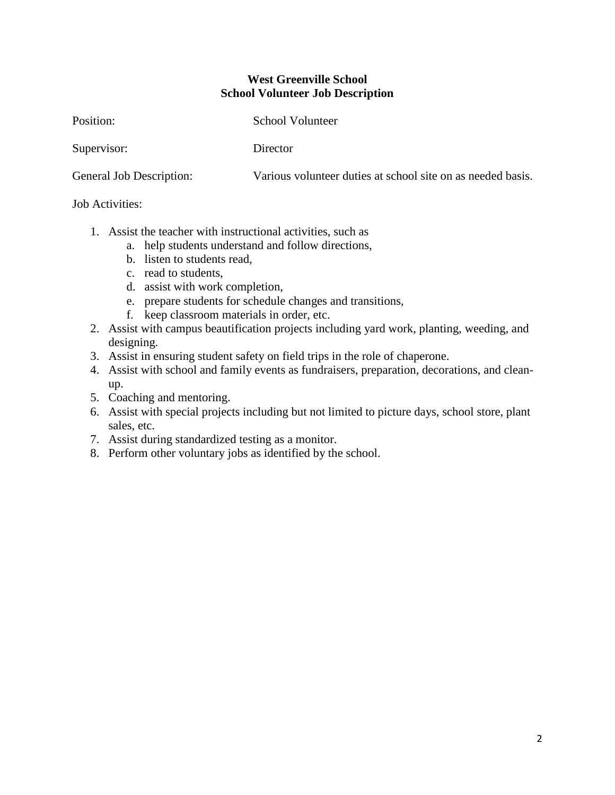#### **West Greenville School School Volunteer Job Description**

Position: School Volunteer

Supervisor: Director

General Job Description: Various volunteer duties at school site on as needed basis.

#### Job Activities:

- 1. Assist the teacher with instructional activities, such as
	- a. help students understand and follow directions,
	- b. listen to students read,
	- c. read to students,
	- d. assist with work completion,
	- e. prepare students for schedule changes and transitions,
	- f. keep classroom materials in order, etc.
- 2. Assist with campus beautification projects including yard work, planting, weeding, and designing.
- 3. Assist in ensuring student safety on field trips in the role of chaperone.
- 4. Assist with school and family events as fundraisers, preparation, decorations, and cleanup.
- 5. Coaching and mentoring.
- 6. Assist with special projects including but not limited to picture days, school store, plant sales, etc.
- 7. Assist during standardized testing as a monitor.
- 8. Perform other voluntary jobs as identified by the school.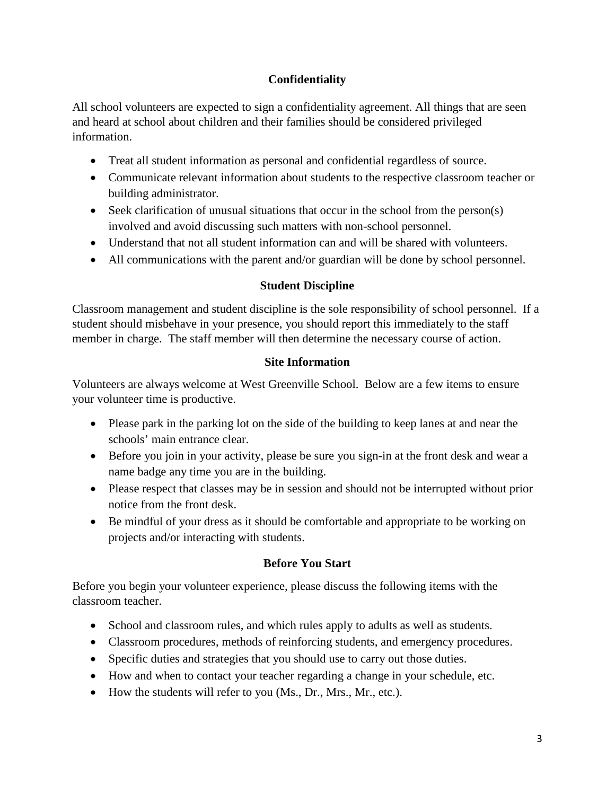## **Confidentiality**

All school volunteers are expected to sign a confidentiality agreement. All things that are seen and heard at school about children and their families should be considered privileged information.

- Treat all student information as personal and confidential regardless of source.
- Communicate relevant information about students to the respective classroom teacher or building administrator.
- Seek clarification of unusual situations that occur in the school from the person(s) involved and avoid discussing such matters with non-school personnel.
- Understand that not all student information can and will be shared with volunteers.
- All communications with the parent and/or guardian will be done by school personnel.

## **Student Discipline**

Classroom management and student discipline is the sole responsibility of school personnel. If a student should misbehave in your presence, you should report this immediately to the staff member in charge. The staff member will then determine the necessary course of action.

## **Site Information**

Volunteers are always welcome at West Greenville School. Below are a few items to ensure your volunteer time is productive.

- Please park in the parking lot on the side of the building to keep lanes at and near the schools' main entrance clear.
- Before you join in your activity, please be sure you sign-in at the front desk and wear a name badge any time you are in the building.
- Please respect that classes may be in session and should not be interrupted without prior notice from the front desk.
- Be mindful of your dress as it should be comfortable and appropriate to be working on projects and/or interacting with students.

# **Before You Start**

Before you begin your volunteer experience, please discuss the following items with the classroom teacher.

- School and classroom rules, and which rules apply to adults as well as students.
- Classroom procedures, methods of reinforcing students, and emergency procedures.
- Specific duties and strategies that you should use to carry out those duties.
- How and when to contact your teacher regarding a change in your schedule, etc.
- How the students will refer to you (Ms., Dr., Mrs., Mr., etc.).